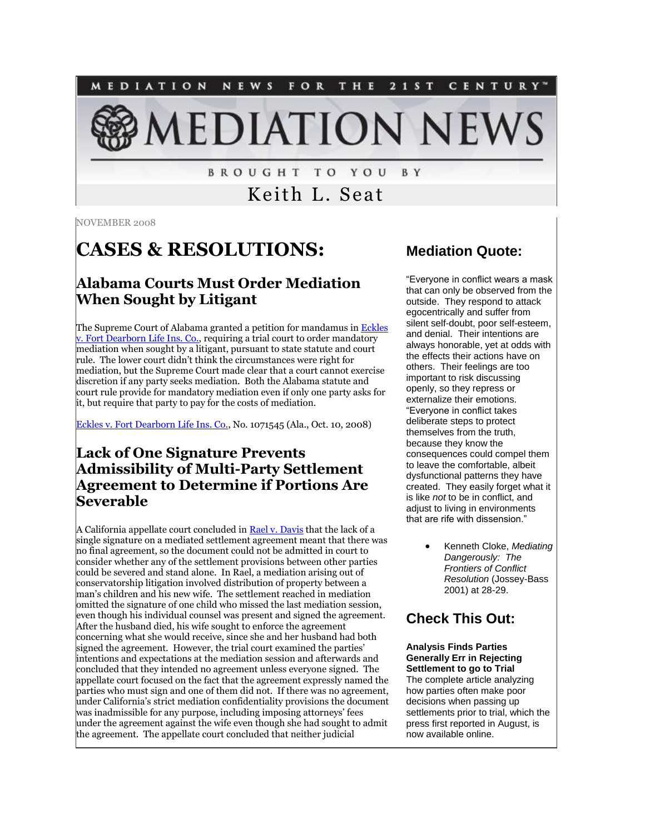NEWS FOR THE 2 1 S T MEDIATION CENTURY"

**IEDIATION NEW** 

**BROUGHT TO YOU** B Y

Keith L. Seat

NOVEMBER 2008

# **CASES & RESOLUTIONS:**

#### **Alabama Courts Must Order Mediation When Sought by Litigant**

The Supreme Court of Alabama granted a petition for mandamus in Eckles [v. Fort Dearborn Life Ins. Co.,](http://www.alabamaappellatewatch.com/uploads/file/1071545.PDF) requiring a trial court to order mandatory mediation when sought by a litigant, pursuant to state statute and court rule. The lower court didn't think the circumstances were right for mediation, but the Supreme Court made clear that a court cannot exercise discretion if any party seeks mediation. Both the Alabama statute and court rule provide for mandatory mediation even if only one party asks for it, but require that party to pay for the costs of mediation.

[Eckles v. Fort Dearborn Life Ins. Co.,](http://www.alabamaappellatewatch.com/uploads/file/1071545.PDF) No. 1071545 (Ala., Oct. 10, 2008)

#### **Lack of One Signature Prevents Admissibility of Multi-Party Settlement Agreement to Determine if Portions Are Severable**

A California appellate court concluded in [Rael v. Davis](http://www.courtinfo.ca.gov/opinions/documents/B197971.DOC) that the lack of a single signature on a mediated settlement agreement meant that there was no final agreement, so the document could not be admitted in court to consider whether any of the settlement provisions between other parties could be severed and stand alone. In Rael, a mediation arising out of conservatorship litigation involved distribution of property between a man's children and his new wife. The settlement reached in mediation omitted the signature of one child who missed the last mediation session, even though his individual counsel was present and signed the agreement. After the husband died, his wife sought to enforce the agreement concerning what she would receive, since she and her husband had both signed the agreement. However, the trial court examined the parties' intentions and expectations at the mediation session and afterwards and concluded that they intended no agreement unless everyone signed. The appellate court focused on the fact that the agreement expressly named the parties who must sign and one of them did not. If there was no agreement, under California's strict mediation confidentiality provisions the document was inadmissible for any purpose, including imposing attorneys' fees under the agreement against the wife even though she had sought to admit the agreement. The appellate court concluded that neither judicial

#### **Mediation Quote:**

"Everyone in conflict wears a mask that can only be observed from the outside. They respond to attack egocentrically and suffer from silent self-doubt, poor self-esteem, and denial. Their intentions are always honorable, yet at odds with the effects their actions have on others. Their feelings are too important to risk discussing openly, so they repress or externalize their emotions. "Everyone in conflict takes deliberate steps to protect themselves from the truth, because they know the consequences could compel them to leave the comfortable, albeit dysfunctional patterns they have created. They easily forget what it is like *not* to be in conflict, and adjust to living in environments that are rife with dissension."

> Kenneth Cloke, *Mediating Dangerously: The Frontiers of Conflict Resolution* (Jossey-Bass 2001) at 28-29.

### **Check This Out:**

#### **Analysis Finds Parties Generally Err in Rejecting Settlement to go to Trial**

The complete article analyzing how parties often make poor decisions when passing up settlements prior to trial, which the press first reported in August, is now available online.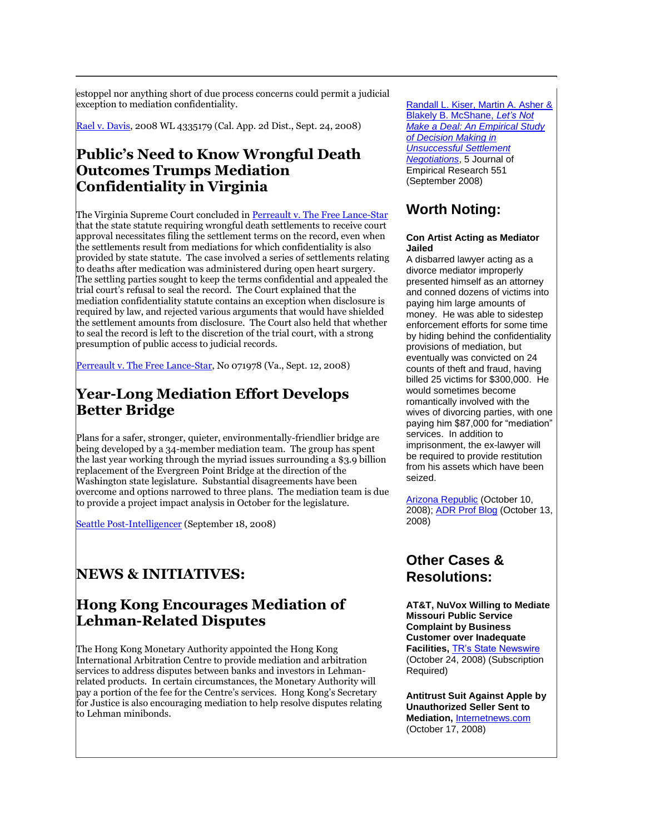estoppel nor anything short of due process concerns could permit a judicial exception to mediation confidentiality.

[Rael v. Davis,](http://www.courtinfo.ca.gov/opinions/documents/B197971.DOC) 2008 WL 4335179 (Cal. App. 2d Dist., Sept. 24, 2008)

#### **Public's Need to Know Wrongful Death Outcomes Trumps Mediation Confidentiality in Virginia**

The Virginia Supreme Court concluded i[n Perreault v. The Free Lance-Star](http://www.courts.state.va.us/opinions/opnscvwp/1071978.pdf) that the state statute requiring wrongful death settlements to receive court approval necessitates filing the settlement terms on the record, even when the settlements result from mediations for which confidentiality is also provided by state statute. The case involved a series of settlements relating to deaths after medication was administered during open heart surgery. The settling parties sought to keep the terms confidential and appealed the trial court's refusal to seal the record. The Court explained that the mediation confidentiality statute contains an exception when disclosure is required by law, and rejected various arguments that would have shielded the settlement amounts from disclosure. The Court also held that whether to seal the record is left to the discretion of the trial court, with a strong presumption of public access to judicial records.

[Perreault v. The Free Lance-Star,](http://www.courts.state.va.us/opinions/opnscvwp/1071978.pdf) No 071978 (Va., Sept. 12, 2008)

#### **Year-Long Mediation Effort Develops Better Bridge**

Plans for a safer, stronger, quieter, environmentally-friendlier bridge are being developed by a 34-member mediation team. The group has spent the last year working through the myriad issues surrounding a \$3.9 billion replacement of the Evergreen Point Bridge at the direction of the Washington state legislature. Substantial disagreements have been overcome and options narrowed to three plans. The mediation team is due to provide a project impact analysis in October for the legislature.

[Seattle Post-Intelligencer](http://seattlepi.nwsource.com/transportation/379582_520design18.html) (September 18, 2008)

### **NEWS & INITIATIVES:**

#### **Hong Kong Encourages Mediation of Lehman-Related Disputes**

The Hong Kong Monetary Authority appointed the Hong Kong International Arbitration Centre to provide mediation and arbitration services to address disputes between banks and investors in Lehmanrelated products. In certain circumstances, the Monetary Authority will pay a portion of the fee for the Centre's services. Hong Kong's Secretary for Justice is also encouraging mediation to help resolve disputes relating to Lehman minibonds.

[Randall L. Kiser, Martin A. Asher &](http://www3.interscience.wiley.com/cgi-bin/fulltext/121400491/PDFSTART?CRETRY=1&SRETRY=0)  [Blakely B. McShane,](http://www3.interscience.wiley.com/cgi-bin/fulltext/121400491/PDFSTART?CRETRY=1&SRETRY=0) *Let's Not [Make a Deal: An Empirical Study](http://www3.interscience.wiley.com/cgi-bin/fulltext/121400491/PDFSTART?CRETRY=1&SRETRY=0)  [of Decision Making in](http://www3.interscience.wiley.com/cgi-bin/fulltext/121400491/PDFSTART?CRETRY=1&SRETRY=0)  [Unsuccessful Settlement](http://www3.interscience.wiley.com/cgi-bin/fulltext/121400491/PDFSTART?CRETRY=1&SRETRY=0)  [Negotiations](http://www3.interscience.wiley.com/cgi-bin/fulltext/121400491/PDFSTART?CRETRY=1&SRETRY=0)*, 5 Journal of Empirical Research 551 (September 2008)

### **Worth Noting:**

#### **Con Artist Acting as Mediator Jailed**

A disbarred lawyer acting as a divorce mediator improperly presented himself as an attorney and conned dozens of victims into paying him large amounts of money. He was able to sidestep enforcement efforts for some time by hiding behind the confidentiality provisions of mediation, but eventually was convicted on 24 counts of theft and fraud, having billed 25 victims for \$300,000. He would sometimes become romantically involved with the wives of divorcing parties, with one paying him \$87,000 for "mediation" services. In addition to imprisonment, the ex-lawyer will be required to provide restitution from his assets which have been seized.

[Arizona Republic](http://tinyurl.com/6quvn9) (October 10, 2008)[; ADR Prof Blog](http://www.indisputably.org/?p=185) (October 13, 2008)

#### **Other Cases & Resolutions:**

**AT&T, NuVox Willing to Mediate Missouri Public Service Complaint by Business Customer over Inadequate Facilities,** [TR's State Newswire](http://tinyurl.com/554s3m) (October 24, 2008) (Subscription Required)

**Antitrust Suit Against Apple by Unauthorized Seller Sent to Mediation,** [Internetnews.com](http://tinyurl.com/5cacom) (October 17, 2008)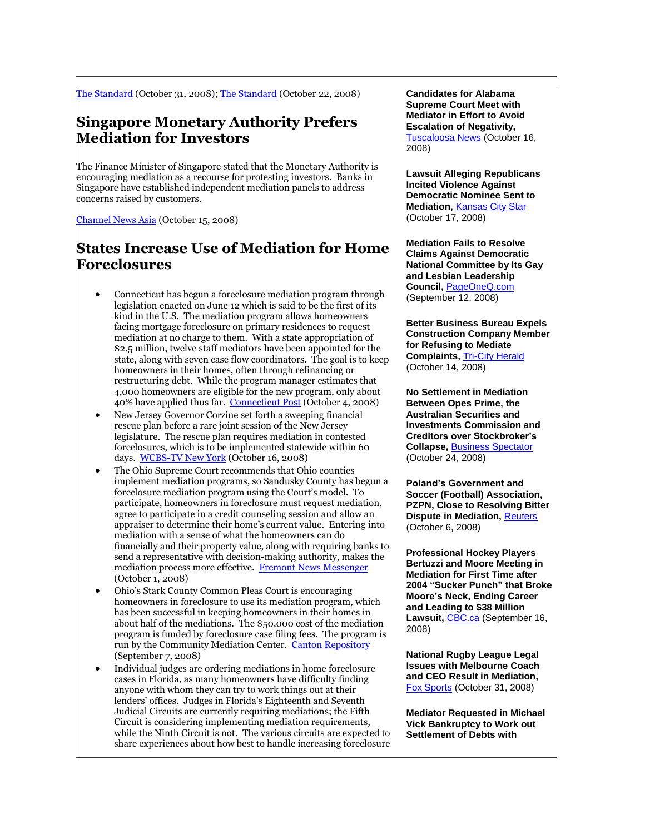[The Standard](http://tinyurl.com/5hpz7r) (October 31, 2008); [The Standard](http://www.thestandard.com.hk/img/favicon.ico) (October 22, 2008)

#### **Singapore Monetary Authority Prefers Mediation for Investors**

The Finance Minister of Singapore stated that the Monetary Authority is encouraging mediation as a recourse for protesting investors. Banks in Singapore have established independent mediation panels to address concerns raised by customers.

[Channel News Asia](http://www.channelnewsasia.com/stories/singaporebusinessnews/view/382963/1/.html) (October 15, 2008)

#### **States Increase Use of Mediation for Home Foreclosures**

- Connecticut has begun a foreclosure mediation program through legislation enacted on June 12 which is said to be the first of its kind in the U.S. The mediation program allows homeowners facing mortgage foreclosure on primary residences to request mediation at no charge to them. With a state appropriation of \$2.5 million, twelve staff mediators have been appointed for the state, along with seven case flow coordinators. The goal is to keep homeowners in their homes, often through refinancing or restructuring debt. While the program manager estimates that 4,000 homeowners are eligible for the new program, only about 40% have applied thus far. [Connecticut Post](http://www.connpost.com/localnews/ci_10640680) (October 4, 2008)
- New Jersey Governor Corzine set forth a sweeping financial rescue plan before a rare joint session of the New Jersey legislature. The rescue plan requires mediation in contested foreclosures, which is to be implemented statewide within 60 days. [WCBS-TV New York](http://wcbstv.com/topstories/corzine.foreclosure.mediation.2.841954.html) (October 16, 2008)
- The Ohio Supreme Court recommends that Ohio counties implement mediation programs, so Sandusky County has begun a foreclosure mediation program using the Court's model. To participate, homeowners in foreclosure must request mediation, agree to participate in a credit counseling session and allow an appraiser to determine their home's current value. Entering into mediation with a sense of what the homeowners can do financially and their property value, along with requiring banks to send a representative with decision-making authority, makes the mediation process more effective. [Fremont News Messenger](http://www.thenews-messenger.com/apps/pbcs.dll/article?AID=/20081001/NEWS01/810010301/1002) (October 1, 2008)
- Ohio's Stark County Common Pleas Court is encouraging homeowners in foreclosure to use its mediation program, which has been successful in keeping homeowners in their homes in about half of the mediations. The \$50,000 cost of the mediation program is funded by foreclosure case filing fees. The program is run by the Community Mediation Center. [Canton Repository](http://www.cantonrep.com/index.php?ID=429806&r=0&Category=9&subCategoryID=0) (September 7, 2008)
- Individual judges are ordering mediations in home foreclosure cases in Florida, as many homeowners have difficulty finding anyone with whom they can try to work things out at their lenders' offices. Judges in Florida's Eighteenth and Seventh Judicial Circuits are currently requiring mediations; the Fifth Circuit is considering implementing mediation requirements, while the Ninth Circuit is not. The various circuits are expected to share experiences about how best to handle increasing foreclosure

**Candidates for Alabama Supreme Court Meet with Mediator in Effort to Avoid Escalation of Negativity,**  [Tuscaloosa News](http://www.tuscaloosanews.com/favicon.ico) (October 16, 2008)

**Lawsuit Alleging Republicans Incited Violence Against Democratic Nominee Sent to Mediation,** [Kansas City Star](http://www.kansascity.com/115/story/843091.html) (October 17, 2008)

**Mediation Fails to Resolve Claims Against Democratic National Committee by Its Gay and Lesbian Leadership Council,** [PageOneQ.com](http://tinyurl.com/4ptun2) (September 12, 2008)

**Better Business Bureau Expels Construction Company Member for Refusing to Mediate Complaints,** [Tri-City Herald](http://tinyurl.com/6jm5y8) (October 14, 2008)

**No Settlement in Mediation Between Opes Prime, the Australian Securities and Investments Commission and Creditors over Stockbroker's Collapse,** [Business Spectator](http://tinyurl.com/6ykp4b) (October 24, 2008)

**Poland's Government and Soccer (Football) Association, PZPN, Close to Resolving Bitter Dispute in Mediation, [Reuters](http://tinyurl.com/6kjnyo)** (October 6, 2008)

**Professional Hockey Players Bertuzzi and Moore Meeting in Mediation for First Time after 2004 "Sucker Punch" that Broke Moore's Neck, Ending Career and Leading to \$38 Million**  Lawsuit, [CBC.ca](http://www.cbc.ca/sports/hockey/story/2008/09/16/bertuzzi-moore-mediation.html) (September 16, 2008)

**National Rugby League Legal Issues with Melbourne Coach and CEO Result in Mediation,** [Fox Sports](http://www.foxsports.com.au/story/0,8659,24579292-23214,00.html) (October 31, 2008)

**Mediator Requested in Michael Vick Bankruptcy to Work out Settlement of Debts with**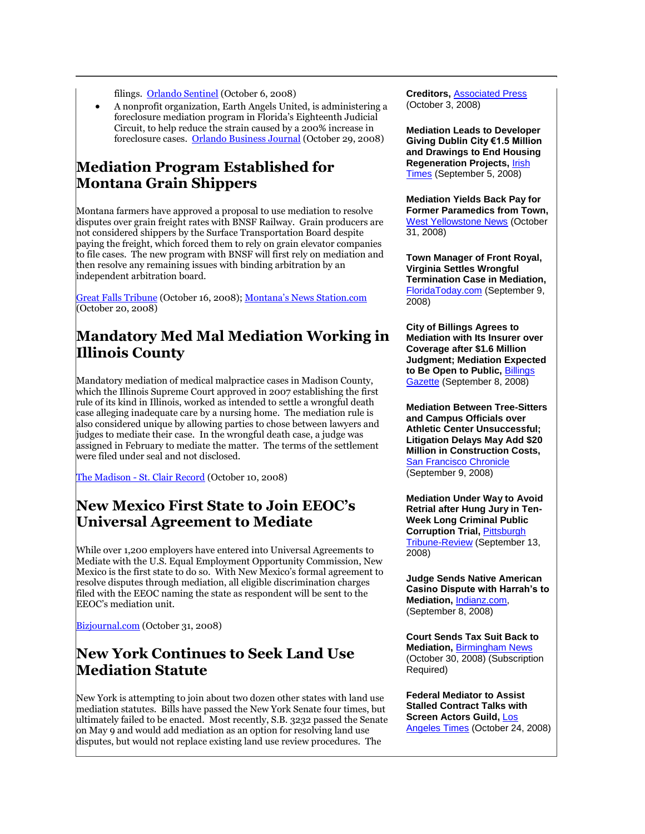filings. [Orlando Sentinel](http://www.orlandosentinel.com/news/local/seminole/orl-law0608oct06,0,6147904.story) (October 6, 2008)

 A nonprofit organization, Earth Angels United, is administering a foreclosure mediation program in Florida's Eighteenth Judicial Circuit, to help reduce the strain caused by a 200% increase in foreclosure cases. [Orlando Business Journal](http://www.bizjournals.com/orlando/stories/2008/10/27/daily20.html) (October 29, 2008)

#### **Mediation Program Established for Montana Grain Shippers**

Montana farmers have approved a proposal to use mediation to resolve disputes over grain freight rates with BNSF Railway. Grain producers are not considered shippers by the Surface Transportation Board despite paying the freight, which forced them to rely on grain elevator companies to file cases. The new program with BNSF will first rely on mediation and then resolve any remaining issues with binding arbitration by an independent arbitration board.

[Great Falls Tribune](http://www.greatfallstribune.com/apps/pbcs.dll/article?AID=/20081016/BUSINESS/810160337) (October 16, 2008); [Montana's News Station.com](http://tinyurl.com/5qs2qc) (October 20, 2008)

# **Mandatory Med Mal Mediation Working in Illinois County**

Mandatory mediation of medical malpractice cases in Madison County, which the Illinois Supreme Court approved in 2007 establishing the first rule of its kind in Illinois, worked as intended to settle a wrongful death case alleging inadequate care by a nursing home. The mediation rule is also considered unique by allowing parties to chose between lawyers and judges to mediate their case. In the wrongful death case, a judge was assigned in February to mediate the matter. The terms of the settlement were filed under seal and not disclosed.

The Madison - [St. Clair Record](http://www.stclairrecord.com/news/215256-mandatory-mediation-rule-helps-avert-wrongful-death-trial) (October 10, 2008)

#### **New Mexico First State to Join EEOC's Universal Agreement to Mediate**

While over 1,200 employers have entered into Universal Agreements to Mediate with the U.S. Equal Employment Opportunity Commission, New Mexico is the first state to do so. With New Mexico's formal agreement to resolve disputes through mediation, all eligible discrimination charges filed with the EEOC naming the state as respondent will be sent to the EEOC's mediation unit.

[Bizjournal.com](http://www.bizjournals.com/albuquerque/stories/2008/10/27/daily52.html) (October 31, 2008)

### **New York Continues to Seek Land Use Mediation Statute**

New York is attempting to join about two dozen other states with land use mediation statutes. Bills have passed the New York Senate four times, but ultimately failed to be enacted. Most recently, S.B. 3232 passed the Senate on May 9 and would add mediation as an option for resolving land use disputes, but would not replace existing land use review procedures. The

**Creditors,** [Associated Press](http://ap.google.com/article/ALeqM5gN3co-IXlbMYeM1UfPDPuKctNBFAD93J7QEG4) (October 3, 2008)

**Mediation Leads to Developer Giving Dublin City €1.5 Million and Drawings to End Housing Regeneration Projects,** [Irish](http://www.irishtimes.com/newspaper/ireland/2008/0905/1220544890510.html)  [Times](http://www.irishtimes.com/newspaper/ireland/2008/0905/1220544890510.html) (September 5, 2008)

**Mediation Yields Back Pay for Former Paramedics from Town,**  [West Yellowstone News](http://www.westyellowstonenews.com/favicon.ico) (October 31, 2008)

**Town Manager of Front Royal, Virginia Settles Wrongful Termination Case in Mediation,**  [FloridaToday.com](http://www.floridatoday.com/apps/pbcs.dll/article?AID=/20080909/NEWS01/809090335/1006/news01) (September 9, 2008)

**City of Billings Agrees to Mediation with Its Insurer over Coverage after \$1.6 Million Judgment; Mediation Expected to Be Open to Public,** [Billings](http://www.billingsgazette.net/articles/2008/09/08/news/local/19-council.txt)  [Gazette](http://www.billingsgazette.net/articles/2008/09/08/news/local/19-council.txt) (September 8, 2008)

**Mediation Between Tree-Sitters and Campus Officials over Athletic Center Unsuccessful; Litigation Delays May Add \$20 Million in Construction Costs,**  [San Francisco Chronicle](http://www.sfgate.com/cgi-bin/article.cgi?f=/c/a/2008/09/09/BAP712QCQO.DTL) (September 9, 2008)

**Mediation Under Way to Avoid Retrial after Hung Jury in Ten-Week Long Criminal Public Corruption Trial,** [Pittsburgh](http://www.pittsburghlive.com/x/pittsburghtrib/news/specialreports/wecht/trial/s_587997.html)  [Tribune-Review](http://www.pittsburghlive.com/x/pittsburghtrib/news/specialreports/wecht/trial/s_587997.html) (September 13, 2008)

**Judge Sends Native American Casino Dispute with Harrah's to Mediation,** [Indianz.com,](http://www.indianz.com/IndianGaming/2008/010699.asp) (September 8, 2008)

**Court Sends Tax Suit Back to Mediation,** [Birmingham News](http://tinyurl.com/5t4a7c) (October 30, 2008) (Subscription Required)

**Federal Mediator to Assist Stalled Contract Talks with Screen Actors Guild,** [Los](http://www.latimes.com/business/la-fi-studios24-2008oct24,0,6048813.story)  [Angeles Times](http://www.latimes.com/business/la-fi-studios24-2008oct24,0,6048813.story) (October 24, 2008)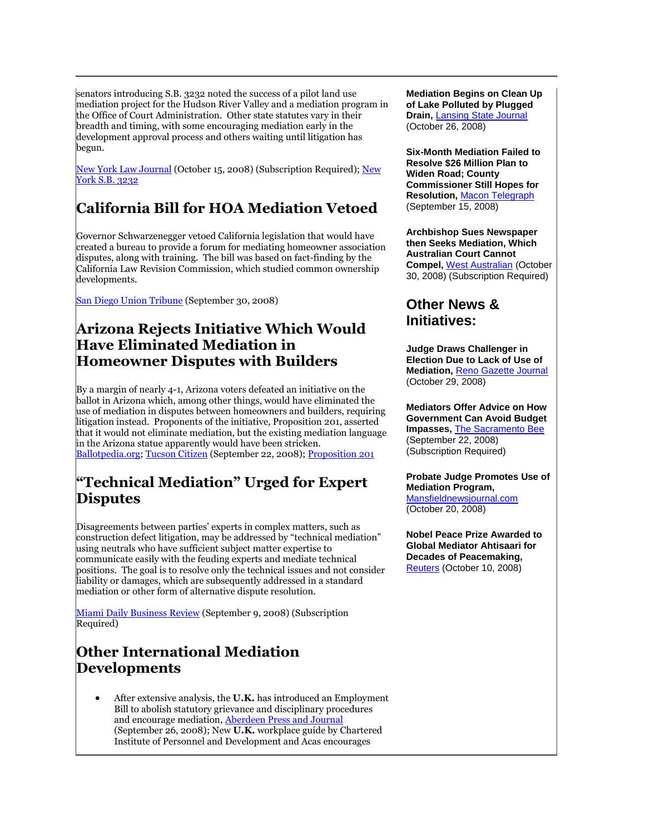senators introducing S.B. 3232 noted the success of a pilot land use mediation project for the Hudson River Valley and a mediation program in the Office of Court Administration. Other state statutes vary in their breadth and timing, with some encouraging mediation early in the development approval process and others waiting until litigation has begun.

[New York Law Journal](http://tinyurl.com/5r4kt8) (October 15, 2008) (Subscription Required); New [York S.B. 3232](http://www.statescape.com/Billsearch/ssSearch_doc.asp?DocId=121910&Index=%5C%5Cstatescape2%5CSSBillText%5Cssbilltext2002&HitCount=0&hits=&hc=0&req=)

# **California Bill for HOA Mediation Vetoed**

Governor Schwarzenegger vetoed California legislation that would have created a bureau to provide a forum for mediating homeowner association disputes, along with training. The bill was based on fact-finding by the California Law Revision Commission, which studied common ownership developments.

[San Diego Union Tribune](http://tinyurl.com/3uyp73) (September 30, 2008)

#### **Arizona Rejects Initiative Which Would Have Eliminated Mediation in Homeowner Disputes with Builders**

By a margin of nearly 4-1, Arizona voters defeated an initiative on the ballot in Arizona which, among other things, would have eliminated the use of mediation in disputes between homeowners and builders, requiring litigation instead. Proponents of the initiative, Proposition 201, asserted that it would not eliminate mediation, but the existing mediation language in the Arizona statue apparently would have been stricken. [Ballotpedia.org;](http://ballotpedia.org/wiki/index.php/Arizona_Proposition_201_(2008)) [Tucson Citizen](http://www.tucsoncitizen.com/ss/zTBE%20realestate/97316.php) (September 22, 2008)[; Proposition 201](http://www.azsos.gov/election/2008/Info/PubPamphlet/english/Prop201.htm)

# **"Technical Mediation" Urged for Expert Disputes**

Disagreements between parties' experts in complex matters, such as construction defect litigation, may be addressed by "technical mediation" using neutrals who have sufficient subject matter expertise to communicate easily with the feuding experts and mediate technical positions. The goal is to resolve only the technical issues and not consider liability or damages, which are subsequently addressed in a standard mediation or other form of alternative dispute resolution.

[Miami Daily Business Review](http://tinyurl.com/5y89su) (September 9, 2008) (Subscription Required)

# **Other International Mediation Developments**

 After extensive analysis, the **U.K.** has introduced an Employment Bill to abolish statutory grievance and disciplinary procedures and encourage mediation, [Aberdeen Press and Journal](http://www.pressandjournal.co.uk/images/favicon.ico) (September 26, 2008); New **U.K.** workplace guide by Chartered Institute of Personnel and Development and Acas encourages

**Mediation Begins on Clean Up of Lake Polluted by Plugged Drain,** [Lansing State Journal](http://sitelife.lansingstatejournal.com/ver1.0/Direct/Process?sid=sitelife.lansingstatejournal.com) (October 26, 2008)

**Six-Month Mediation Failed to Resolve \$26 Million Plan to Widen Road; County Commissioner Still Hopes for Resolution,** [Macon Telegraph](http://www.macon.com/198/story/464084.html) (September 15, 2008)

**Archbishop Sues Newspaper then Seeks Mediation, Which Australian Court Cannot Compel,** [West Australian](http://tinyurl.com/66vogg) (October 30, 2008) (Subscription Required)

#### **Other News & Initiatives:**

**Judge Draws Challenger in Election Due to Lack of Use of Mediation,** [Reno Gazette Journal](http://www.rgj.com/article/20081029/NEWS19/810290460/1232) (October 29, 2008)

**Mediators Offer Advice on How Government Can Avoid Budget Impasses,** [The Sacramento Bee](http://tinyurl.com/4bk23t) (September 22, 2008) (Subscription Required)

**Probate Judge Promotes Use of Mediation Program,**  [Mansfieldnewsjournal.com](http://sitelife.mansfieldnewsjournal.com/ver1.0/Content/images/no-user-image.gif) (October 20, 2008)

**Nobel Peace Prize Awarded to Global Mediator Ahtisaari for Decades of Peacemaking,**  [Reuters](http://tinyurl.com/626e3u) (October 10, 2008)